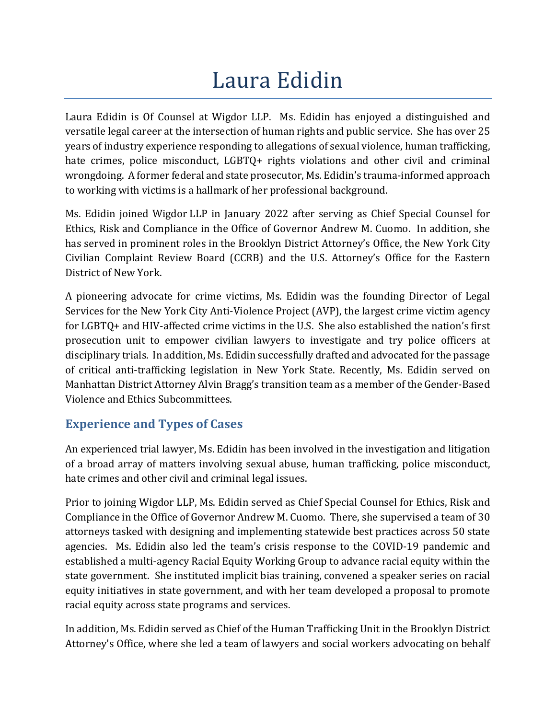# Laura Edidin

Laura Edidin is Of Counsel at Wigdor LLP. Ms. Edidin has enjoyed a distinguished and versatile legal career at the intersection of human rights and public service. She has over 25 years of industry experience responding to allegations of sexual violence, human trafficking, hate crimes, police misconduct, LGBTO+ rights violations and other civil and criminal wrongdoing. A former federal and state prosecutor, Ms. Edidin's trauma-informed approach to working with victims is a hallmark of her professional background.

Ms. Edidin joined Wigdor LLP in January 2022 after serving as Chief Special Counsel for Ethics, Risk and Compliance in the Office of Governor Andrew M. Cuomo. In addition, she has served in prominent roles in the Brooklyn District Attorney's Office, the New York City Civilian Complaint Review Board (CCRB) and the U.S. Attorney's Office for the Eastern District of New York.

A pioneering advocate for crime victims, Ms. Edidin was the founding Director of Legal Services for the New York City Anti-Violence Project (AVP), the largest crime victim agency for LGBTQ+ and HIV-affected crime victims in the U.S. She also established the nation's first prosecution unit to empower civilian lawyers to investigate and try police officers at disciplinary trials. In addition, Ms. Edidin successfully drafted and advocated for the passage of critical anti-trafficking legislation in New York State. Recently, Ms. Edidin served on Manhattan District Attorney Alvin Bragg's transition team as a member of the Gender-Based Violence and Ethics Subcommittees.

## **Experience and Types of Cases**

An experienced trial lawyer, Ms. Edidin has been involved in the investigation and litigation of a broad array of matters involving sexual abuse, human trafficking, police misconduct, hate crimes and other civil and criminal legal issues.

Prior to joining Wigdor LLP, Ms. Edidin served as Chief Special Counsel for Ethics, Risk and Compliance in the Office of Governor Andrew M. Cuomo. There, she supervised a team of 30 attorneys tasked with designing and implementing statewide best practices across 50 state agencies. Ms. Edidin also led the team's crisis response to the COVID-19 pandemic and established a multi-agency Racial Equity Working Group to advance racial equity within the state government. She instituted implicit bias training, convened a speaker series on racial equity initiatives in state government, and with her team developed a proposal to promote racial equity across state programs and services.

In addition, Ms. Edidin served as Chief of the Human Trafficking Unit in the Brooklyn District Attorney's Office, where she led a team of lawyers and social workers advocating on behalf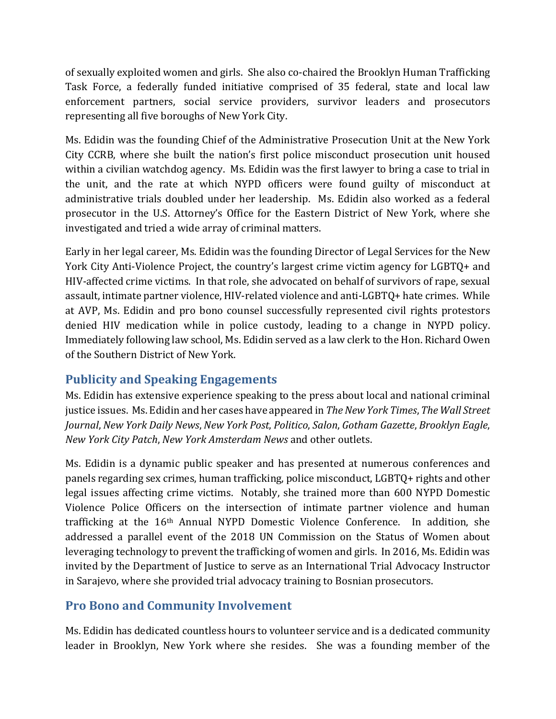of sexually exploited women and girls. She also co-chaired the Brooklyn Human Trafficking Task Force, a federally funded initiative comprised of 35 federal, state and local law enforcement partners, social service providers, survivor leaders and prosecutors representing all five boroughs of New York City.

Ms. Edidin was the founding Chief of the Administrative Prosecution Unit at the New York City CCRB, where she built the nation's first police misconduct prosecution unit housed within a civilian watchdog agency. Ms. Edidin was the first lawyer to bring a case to trial in the unit, and the rate at which NYPD officers were found guilty of misconduct at administrative trials doubled under her leadership. Ms. Edidin also worked as a federal prosecutor in the U.S. Attorney's Office for the Eastern District of New York, where she investigated and tried a wide array of criminal matters.

Early in her legal career, Ms. Edidin was the founding Director of Legal Services for the New York City Anti-Violence Project, the country's largest crime victim agency for LGBTQ+ and HIV-affected crime victims. In that role, she advocated on behalf of survivors of rape, sexual assault, intimate partner violence, HIV-related violence and anti-LGBTQ+ hate crimes. While at AVP, Ms. Edidin and pro bono counsel successfully represented civil rights protestors denied HIV medication while in police custody, leading to a change in NYPD policy. Immediately following law school, Ms. Edidin served as a law clerk to the Hon. Richard Owen of the Southern District of New York.

### **Publicity and Speaking Engagements**

Ms. Edidin has extensive experience speaking to the press about local and national criminal justice issues. Ms. Edidin and her cases have appeared in *TheNew York Times*, *The Wall Street Journal*, *New York Daily News*, *New York Post*, *Politico*, *Salon*, *Gotham Gazette*, *Brooklyn Eagle*, *New York City Patch*, *New York Amsterdam News* and other outlets.

Ms. Edidin is a dynamic public speaker and has presented at numerous conferences and panels regarding sex crimes, human trafficking, police misconduct, LGBTQ+ rights and other legal issues affecting crime victims. Notably, she trained more than 600 NYPD Domestic Violence Police Officers on the intersection of intimate partner violence and human trafficking at the 16th Annual NYPD Domestic Violence Conference. In addition, she addressed a parallel event of the 2018 UN Commission on the Status of Women about leveraging technology to prevent the trafficking of women and girls. In 2016, Ms. Edidin was invited by the Department of Justice to serve as an International Trial Advocacy Instructor in Sarajevo, where she provided trial advocacy training to Bosnian prosecutors.

### **Pro Bono and Community Involvement**

Ms. Edidin has dedicated countless hours to volunteer service and is a dedicated community leader in Brooklyn, New York where she resides. She was a founding member of the